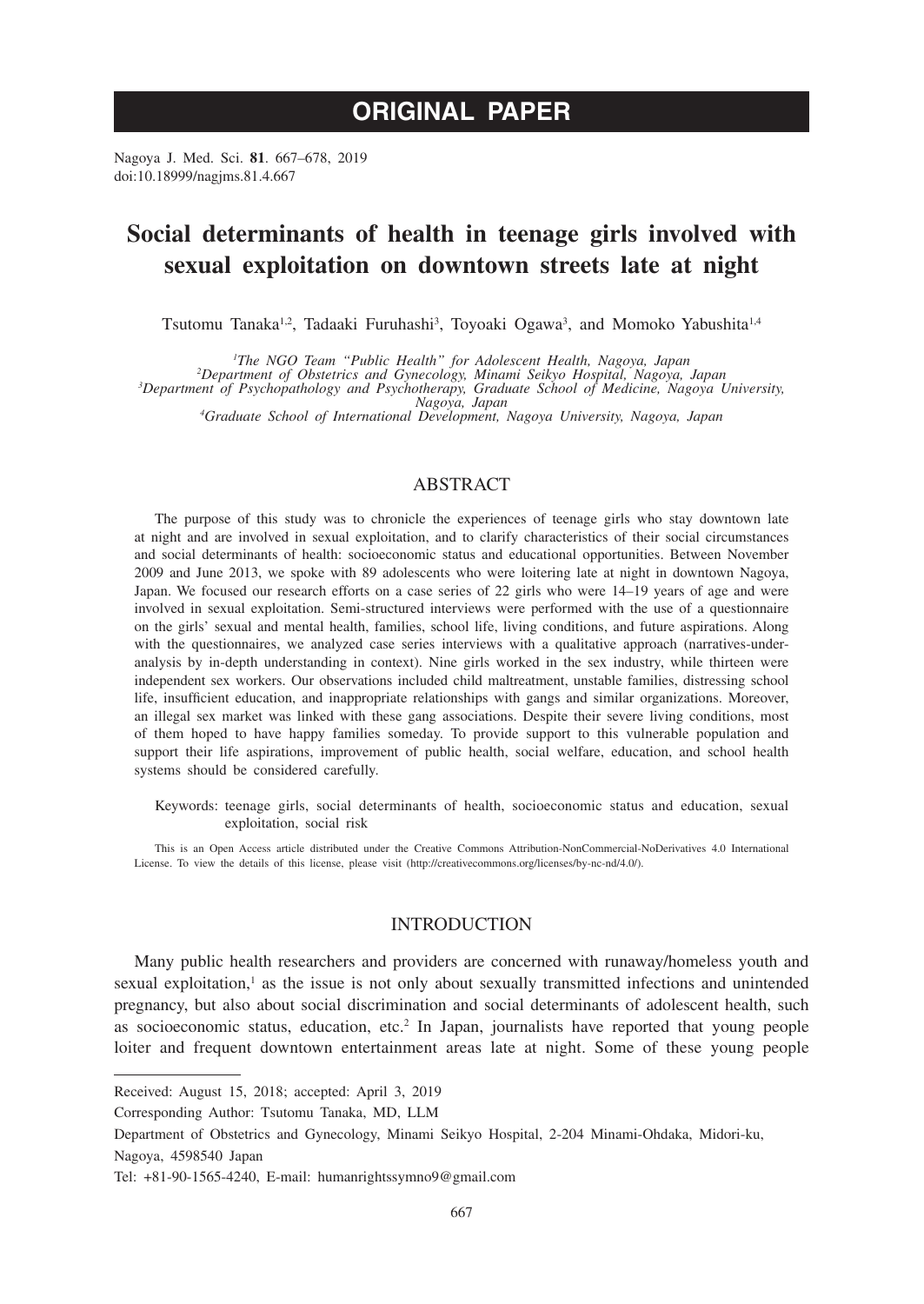# **ORIGINAL PAPER**

Nagoya J. Med. Sci. **81**. 667–678, 2019 doi:10.18999/nagjms.81.4.667

# **Social determinants of health in teenage girls involved with sexual exploitation on downtown streets late at night**

Tsutomu Tanaka<sup>1,2</sup>, Tadaaki Furuhashi<sup>3</sup>, Toyoaki Ogawa<sup>3</sup>, and Momoko Yabushita<sup>1,4</sup>

<sup>1</sup>The NGO Team "Public Health" for Adolescent Health, Nagoya, Japan

<sup>1</sup>The NGO Team "Public Health" for Adolescent Health, Nagoya, Japan<br>Department of Obstetrics and Gynecology, Minami Seikyo Hospital, Nagoya, Japan<sup>2</sup><br>Department of Psychopathology and Psychotherapy, Graduate School of Med

*Nagoya, Japan <sup>4</sup> Graduate School of International Development, Nagoya University, Nagoya, Japan*

## ABSTRACT

The purpose of this study was to chronicle the experiences of teenage girls who stay downtown late at night and are involved in sexual exploitation, and to clarify characteristics of their social circumstances and social determinants of health: socioeconomic status and educational opportunities. Between November 2009 and June 2013, we spoke with 89 adolescents who were loitering late at night in downtown Nagoya, Japan. We focused our research efforts on a case series of 22 girls who were 14–19 years of age and were involved in sexual exploitation. Semi-structured interviews were performed with the use of a questionnaire on the girls' sexual and mental health, families, school life, living conditions, and future aspirations. Along with the questionnaires, we analyzed case series interviews with a qualitative approach (narratives-underanalysis by in-depth understanding in context). Nine girls worked in the sex industry, while thirteen were independent sex workers. Our observations included child maltreatment, unstable families, distressing school life, insufficient education, and inappropriate relationships with gangs and similar organizations. Moreover, an illegal sex market was linked with these gang associations. Despite their severe living conditions, most of them hoped to have happy families someday. To provide support to this vulnerable population and support their life aspirations, improvement of public health, social welfare, education, and school health systems should be considered carefully.

Keywords: teenage girls, social determinants of health, socioeconomic status and education, sexual exploitation, social risk

This is an Open Access article distributed under the Creative Commons Attribution-NonCommercial-NoDerivatives 4.0 International License. To view the details of this license, please visit (http://creativecommons.org/licenses/by-nc-nd/4.0/).

## INTRODUCTION

Many public health researchers and providers are concerned with runaway/homeless youth and sexual exploitation,<sup>1</sup> as the issue is not only about sexually transmitted infections and unintended pregnancy, but also about social discrimination and social determinants of adolescent health, such as socioeconomic status, education, etc.<sup>2</sup> In Japan, journalists have reported that young people loiter and frequent downtown entertainment areas late at night. Some of these young people

Corresponding Author: Tsutomu Tanaka, MD, LLM

Department of Obstetrics and Gynecology, Minami Seikyo Hospital, 2-204 Minami-Ohdaka, Midori-ku,

Nagoya, 4598540 Japan

Received: August 15, 2018; accepted: April 3, 2019

Tel: +81-90-1565-4240, E-mail: humanrightssymno9@gmail.com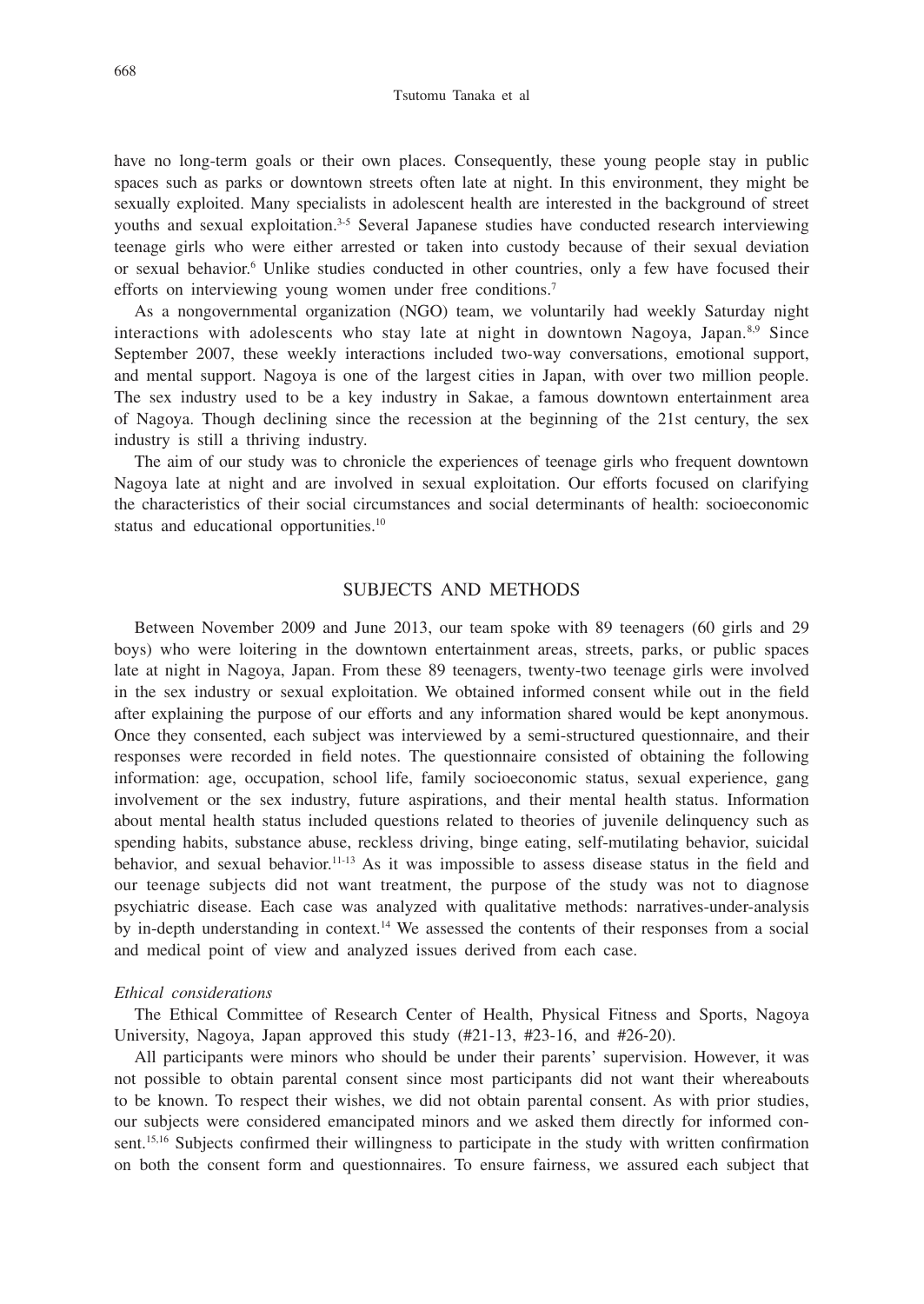have no long-term goals or their own places. Consequently, these young people stay in public spaces such as parks or downtown streets often late at night. In this environment, they might be sexually exploited. Many specialists in adolescent health are interested in the background of street youths and sexual exploitation.3-5 Several Japanese studies have conducted research interviewing teenage girls who were either arrested or taken into custody because of their sexual deviation or sexual behavior.<sup>6</sup> Unlike studies conducted in other countries, only a few have focused their efforts on interviewing young women under free conditions.<sup>7</sup>

As a nongovernmental organization (NGO) team, we voluntarily had weekly Saturday night interactions with adolescents who stay late at night in downtown Nagoya, Japan. $8.9$  Since September 2007, these weekly interactions included two-way conversations, emotional support, and mental support. Nagoya is one of the largest cities in Japan, with over two million people. The sex industry used to be a key industry in Sakae, a famous downtown entertainment area of Nagoya. Though declining since the recession at the beginning of the 21st century, the sex industry is still a thriving industry.

The aim of our study was to chronicle the experiences of teenage girls who frequent downtown Nagoya late at night and are involved in sexual exploitation. Our efforts focused on clarifying the characteristics of their social circumstances and social determinants of health: socioeconomic status and educational opportunities.<sup>10</sup>

## SUBJECTS AND METHODS

Between November 2009 and June 2013, our team spoke with 89 teenagers (60 girls and 29 boys) who were loitering in the downtown entertainment areas, streets, parks, or public spaces late at night in Nagoya, Japan. From these 89 teenagers, twenty-two teenage girls were involved in the sex industry or sexual exploitation. We obtained informed consent while out in the field after explaining the purpose of our efforts and any information shared would be kept anonymous. Once they consented, each subject was interviewed by a semi-structured questionnaire, and their responses were recorded in field notes. The questionnaire consisted of obtaining the following information: age, occupation, school life, family socioeconomic status, sexual experience, gang involvement or the sex industry, future aspirations, and their mental health status. Information about mental health status included questions related to theories of juvenile delinquency such as spending habits, substance abuse, reckless driving, binge eating, self-mutilating behavior, suicidal behavior, and sexual behavior.11-13 As it was impossible to assess disease status in the field and our teenage subjects did not want treatment, the purpose of the study was not to diagnose psychiatric disease. Each case was analyzed with qualitative methods: narratives-under-analysis by in-depth understanding in context.14 We assessed the contents of their responses from a social and medical point of view and analyzed issues derived from each case.

#### *Ethical considerations*

The Ethical Committee of Research Center of Health, Physical Fitness and Sports, Nagoya University, Nagoya, Japan approved this study (#21-13, #23-16, and #26-20).

All participants were minors who should be under their parents' supervision. However, it was not possible to obtain parental consent since most participants did not want their whereabouts to be known. To respect their wishes, we did not obtain parental consent. As with prior studies, our subjects were considered emancipated minors and we asked them directly for informed consent.15,16 Subjects confirmed their willingness to participate in the study with written confirmation on both the consent form and questionnaires. To ensure fairness, we assured each subject that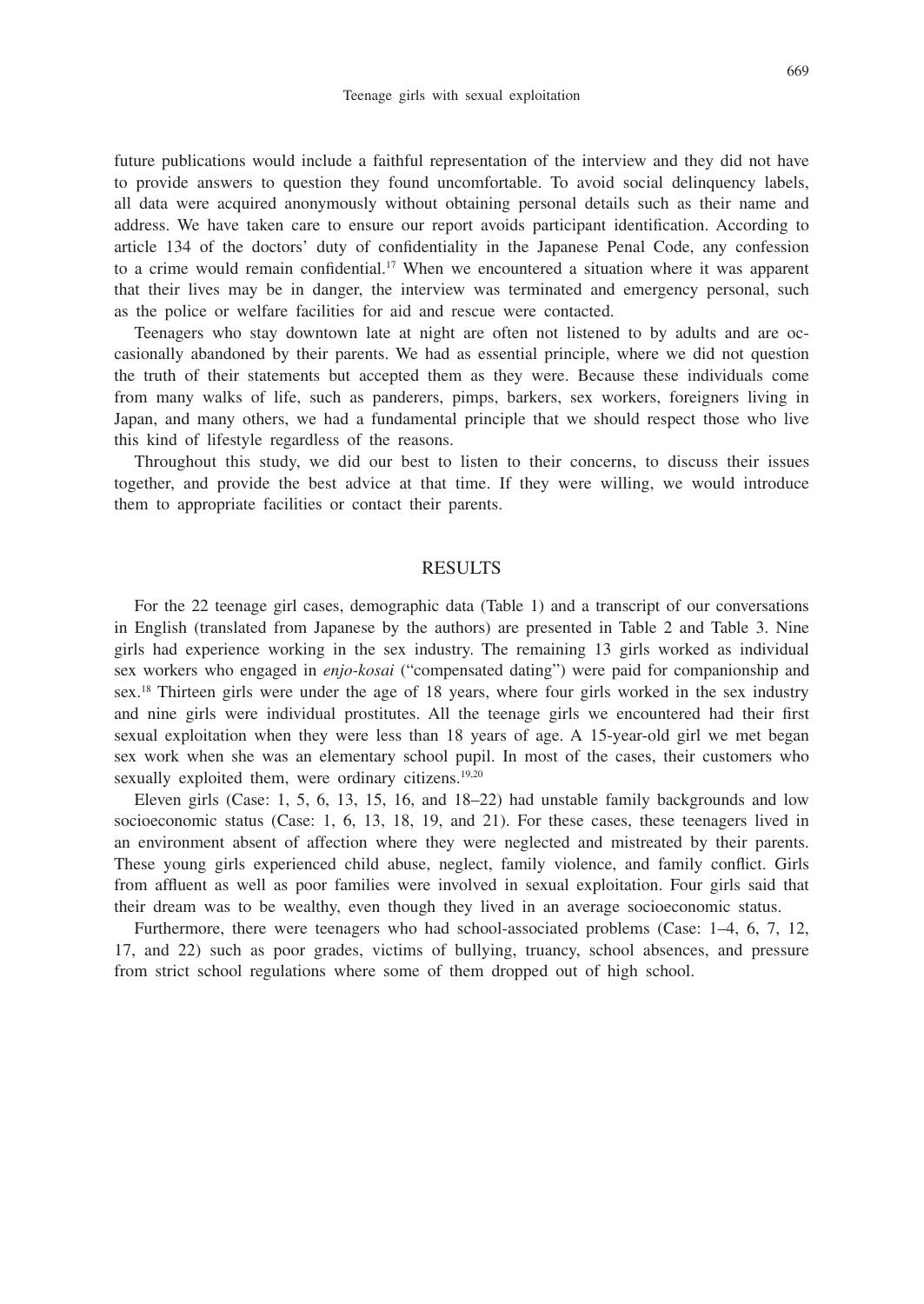future publications would include a faithful representation of the interview and they did not have to provide answers to question they found uncomfortable. To avoid social delinquency labels, all data were acquired anonymously without obtaining personal details such as their name and address. We have taken care to ensure our report avoids participant identification. According to article 134 of the doctors' duty of confidentiality in the Japanese Penal Code, any confession to a crime would remain confidential.<sup>17</sup> When we encountered a situation where it was apparent that their lives may be in danger, the interview was terminated and emergency personal, such as the police or welfare facilities for aid and rescue were contacted.

Teenagers who stay downtown late at night are often not listened to by adults and are occasionally abandoned by their parents. We had as essential principle, where we did not question the truth of their statements but accepted them as they were. Because these individuals come from many walks of life, such as panderers, pimps, barkers, sex workers, foreigners living in Japan, and many others, we had a fundamental principle that we should respect those who live this kind of lifestyle regardless of the reasons.

Throughout this study, we did our best to listen to their concerns, to discuss their issues together, and provide the best advice at that time. If they were willing, we would introduce them to appropriate facilities or contact their parents.

### RESULTS

For the 22 teenage girl cases, demographic data (Table 1) and a transcript of our conversations in English (translated from Japanese by the authors) are presented in Table 2 and Table 3. Nine girls had experience working in the sex industry. The remaining 13 girls worked as individual sex workers who engaged in *enjo-kosai* ("compensated dating") were paid for companionship and sex.18 Thirteen girls were under the age of 18 years, where four girls worked in the sex industry and nine girls were individual prostitutes. All the teenage girls we encountered had their first sexual exploitation when they were less than 18 years of age. A 15-year-old girl we met began sex work when she was an elementary school pupil. In most of the cases, their customers who sexually exploited them, were ordinary citizens. $19,20$ 

Eleven girls (Case: 1, 5, 6, 13, 15, 16, and 18–22) had unstable family backgrounds and low socioeconomic status (Case: 1, 6, 13, 18, 19, and 21). For these cases, these teenagers lived in an environment absent of affection where they were neglected and mistreated by their parents. These young girls experienced child abuse, neglect, family violence, and family conflict. Girls from affluent as well as poor families were involved in sexual exploitation. Four girls said that their dream was to be wealthy, even though they lived in an average socioeconomic status.

Furthermore, there were teenagers who had school-associated problems (Case: 1–4, 6, 7, 12, 17, and 22) such as poor grades, victims of bullying, truancy, school absences, and pressure from strict school regulations where some of them dropped out of high school.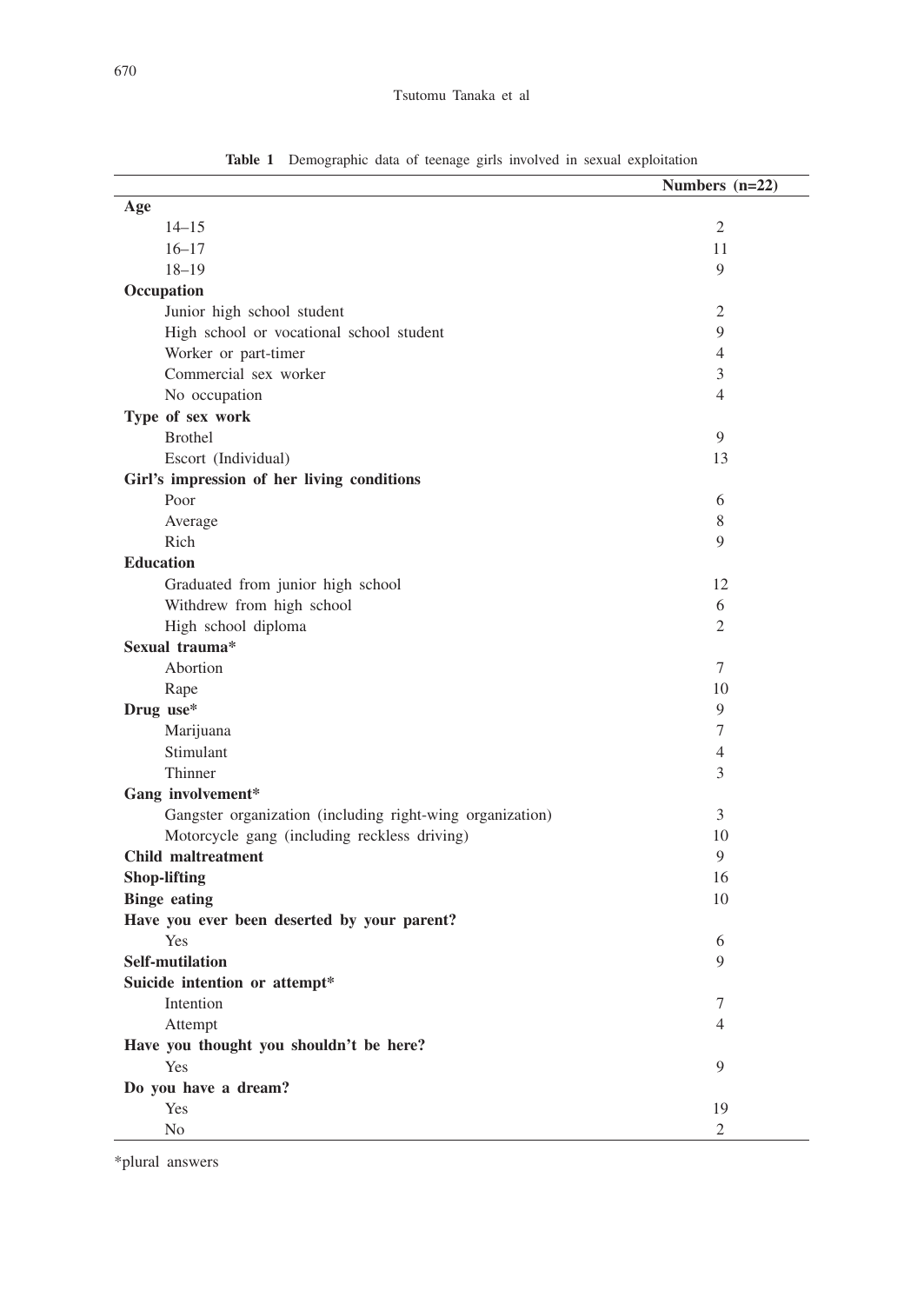|                                                           | Numbers $(n=22)$ |
|-----------------------------------------------------------|------------------|
| Age                                                       |                  |
| $14 - 15$                                                 | $\mathfrak{2}$   |
| $16 - 17$                                                 | 11               |
| $18 - 19$                                                 | 9                |
| Occupation                                                |                  |
| Junior high school student                                | $\mathfrak{2}$   |
| High school or vocational school student                  | 9                |
| Worker or part-timer                                      | 4                |
| Commercial sex worker                                     | 3                |
| No occupation                                             | $\overline{4}$   |
| Type of sex work                                          |                  |
| <b>Brothel</b>                                            | 9                |
| Escort (Individual)                                       | 13               |
| Girl's impression of her living conditions                |                  |
| Poor                                                      | 6                |
| Average                                                   | 8                |
| Rich                                                      | 9                |
| <b>Education</b>                                          |                  |
| Graduated from junior high school                         | 12               |
| Withdrew from high school                                 | 6                |
| High school diploma                                       | 2                |
| Sexual trauma*                                            |                  |
| Abortion                                                  | 7                |
| Rape                                                      | 10               |
| Drug use*                                                 | 9                |
| Marijuana                                                 | 7                |
| Stimulant                                                 | 4                |
| Thinner                                                   | 3                |
| Gang involvement*                                         |                  |
| Gangster organization (including right-wing organization) | 3                |
| Motorcycle gang (including reckless driving)              | 10               |
| <b>Child maltreatment</b>                                 | 9                |
| <b>Shop-lifting</b>                                       | 16               |
| <b>Binge</b> eating                                       | 10               |
| Have you ever been deserted by your parent?               |                  |
| Yes                                                       | 6                |
| <b>Self-mutilation</b>                                    | 9                |
| Suicide intention or attempt*                             |                  |
| Intention                                                 | 7                |
| Attempt                                                   | $\overline{4}$   |
| Have you thought you shouldn't be here?                   |                  |
| Yes                                                       | 9                |
| Do you have a dream?                                      |                  |
| Yes                                                       | 19               |
| N <sub>0</sub>                                            | 2                |

**Table 1** Demographic data of teenage girls involved in sexual exploitation

\*plural answers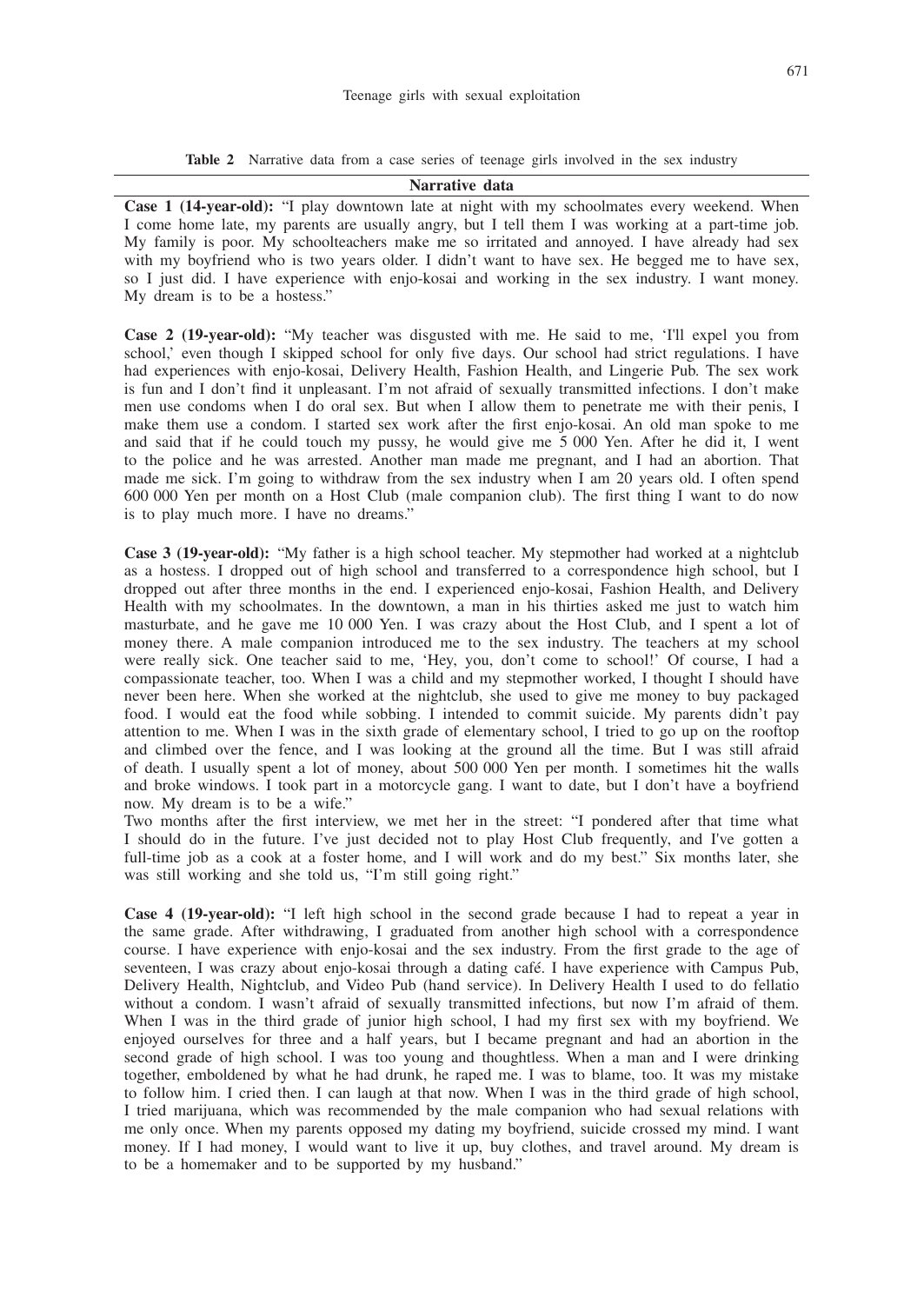**Table 2** Narrative data from a case series of teenage girls involved in the sex industry

**Narrative data**

**Case 1 (14-year-old):** "I play downtown late at night with my schoolmates every weekend. When I come home late, my parents are usually angry, but I tell them I was working at a part-time job. My family is poor. My schoolteachers make me so irritated and annoyed. I have already had sex with my boyfriend who is two years older. I didn't want to have sex. He begged me to have sex, so I just did. I have experience with enjo-kosai and working in the sex industry. I want money. My dream is to be a hostess."

**Case 2 (19-year-old):** "My teacher was disgusted with me. He said to me, 'I'll expel you from school,' even though I skipped school for only five days. Our school had strict regulations. I have had experiences with enjo-kosai, Delivery Health, Fashion Health, and Lingerie Pub. The sex work is fun and I don't find it unpleasant. I'm not afraid of sexually transmitted infections. I don't make men use condoms when I do oral sex. But when I allow them to penetrate me with their penis, I make them use a condom. I started sex work after the first enjo-kosai. An old man spoke to me and said that if he could touch my pussy, he would give me 5 000 Yen. After he did it, I went to the police and he was arrested. Another man made me pregnant, and I had an abortion. That made me sick. I'm going to withdraw from the sex industry when I am 20 years old. I often spend 600 000 Yen per month on a Host Club (male companion club). The first thing I want to do now is to play much more. I have no dreams."

**Case 3 (19-year-old):** "My father is a high school teacher. My stepmother had worked at a nightclub as a hostess. I dropped out of high school and transferred to a correspondence high school, but I dropped out after three months in the end. I experienced enjo-kosai, Fashion Health, and Delivery Health with my schoolmates. In the downtown, a man in his thirties asked me just to watch him masturbate, and he gave me 10 000 Yen. I was crazy about the Host Club, and I spent a lot of money there. A male companion introduced me to the sex industry. The teachers at my school were really sick. One teacher said to me, 'Hey, you, don't come to school!' Of course, I had a compassionate teacher, too. When I was a child and my stepmother worked, I thought I should have never been here. When she worked at the nightclub, she used to give me money to buy packaged food. I would eat the food while sobbing. I intended to commit suicide. My parents didn't pay attention to me. When I was in the sixth grade of elementary school, I tried to go up on the rooftop and climbed over the fence, and I was looking at the ground all the time. But I was still afraid of death. I usually spent a lot of money, about 500 000 Yen per month. I sometimes hit the walls and broke windows. I took part in a motorcycle gang. I want to date, but I don't have a boyfriend now. My dream is to be a wife."

Two months after the first interview, we met her in the street: "I pondered after that time what I should do in the future. I've just decided not to play Host Club frequently, and I've gotten a full-time job as a cook at a foster home, and I will work and do my best." Six months later, she was still working and she told us, "I'm still going right."

**Case 4 (19-year-old):** "I left high school in the second grade because I had to repeat a year in the same grade. After withdrawing, I graduated from another high school with a correspondence course. I have experience with enjo-kosai and the sex industry. From the first grade to the age of seventeen, I was crazy about enjo-kosai through a dating café. I have experience with Campus Pub, Delivery Health, Nightclub, and Video Pub (hand service). In Delivery Health I used to do fellatio without a condom. I wasn't afraid of sexually transmitted infections, but now I'm afraid of them. When I was in the third grade of junior high school, I had my first sex with my boyfriend. We enjoyed ourselves for three and a half years, but I became pregnant and had an abortion in the second grade of high school. I was too young and thoughtless. When a man and I were drinking together, emboldened by what he had drunk, he raped me. I was to blame, too. It was my mistake to follow him. I cried then. I can laugh at that now. When I was in the third grade of high school, I tried marijuana, which was recommended by the male companion who had sexual relations with me only once. When my parents opposed my dating my boyfriend, suicide crossed my mind. I want money. If I had money, I would want to live it up, buy clothes, and travel around. My dream is to be a homemaker and to be supported by my husband."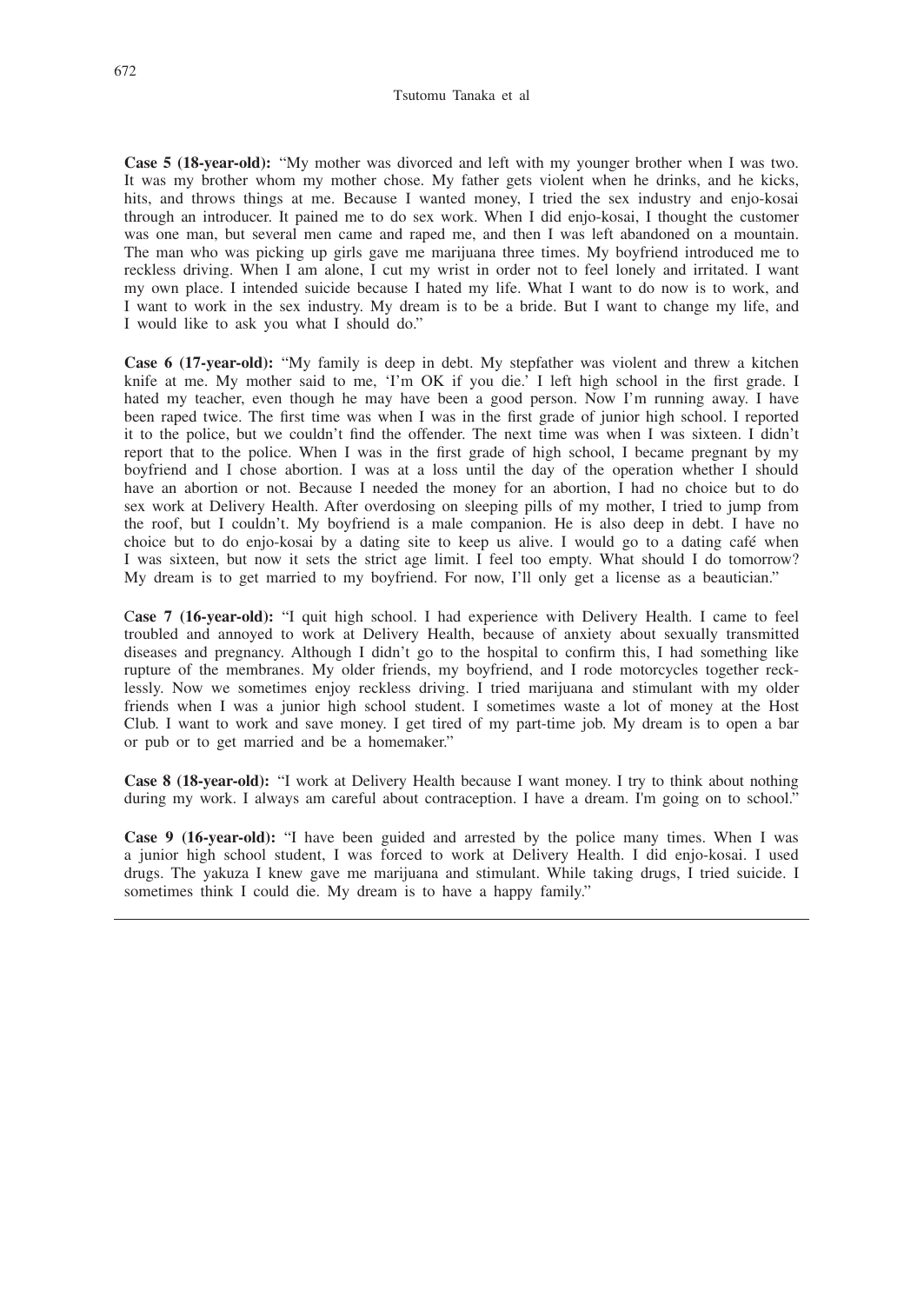**Case 5 (18-year-old):** "My mother was divorced and left with my younger brother when I was two. It was my brother whom my mother chose. My father gets violent when he drinks, and he kicks, hits, and throws things at me. Because I wanted money, I tried the sex industry and enjo-kosai through an introducer. It pained me to do sex work. When I did enjo-kosai, I thought the customer was one man, but several men came and raped me, and then I was left abandoned on a mountain. The man who was picking up girls gave me marijuana three times. My boyfriend introduced me to reckless driving. When I am alone, I cut my wrist in order not to feel lonely and irritated. I want my own place. I intended suicide because I hated my life. What I want to do now is to work, and I want to work in the sex industry. My dream is to be a bride. But I want to change my life, and I would like to ask you what I should do."

**Case 6 (17-year-old):** "My family is deep in debt. My stepfather was violent and threw a kitchen knife at me. My mother said to me, 'I'm OK if you die.' I left high school in the first grade. I hated my teacher, even though he may have been a good person. Now I'm running away. I have been raped twice. The first time was when I was in the first grade of junior high school. I reported it to the police, but we couldn't find the offender. The next time was when I was sixteen. I didn't report that to the police. When I was in the first grade of high school, I became pregnant by my boyfriend and I chose abortion. I was at a loss until the day of the operation whether I should have an abortion or not. Because I needed the money for an abortion, I had no choice but to do sex work at Delivery Health. After overdosing on sleeping pills of my mother, I tried to jump from the roof, but I couldn't. My boyfriend is a male companion. He is also deep in debt. I have no choice but to do enjo-kosai by a dating site to keep us alive. I would go to a dating café when I was sixteen, but now it sets the strict age limit. I feel too empty. What should I do tomorrow? My dream is to get married to my boyfriend. For now, I'll only get a license as a beautician."

C**ase 7 (16-year-old):** "I quit high school. I had experience with Delivery Health. I came to feel troubled and annoyed to work at Delivery Health, because of anxiety about sexually transmitted diseases and pregnancy. Although I didn't go to the hospital to confirm this, I had something like rupture of the membranes. My older friends, my boyfriend, and I rode motorcycles together recklessly. Now we sometimes enjoy reckless driving. I tried marijuana and stimulant with my older friends when I was a junior high school student. I sometimes waste a lot of money at the Host Club. I want to work and save money. I get tired of my part-time job. My dream is to open a bar or pub or to get married and be a homemaker."

**Case 8 (18-year-old):** "I work at Delivery Health because I want money. I try to think about nothing during my work. I always am careful about contraception. I have a dream. I'm going on to school."

**Case 9 (16-year-old):** "I have been guided and arrested by the police many times. When I was a junior high school student, I was forced to work at Delivery Health. I did enjo-kosai. I used drugs. The yakuza I knew gave me marijuana and stimulant. While taking drugs, I tried suicide. I sometimes think I could die. My dream is to have a happy family."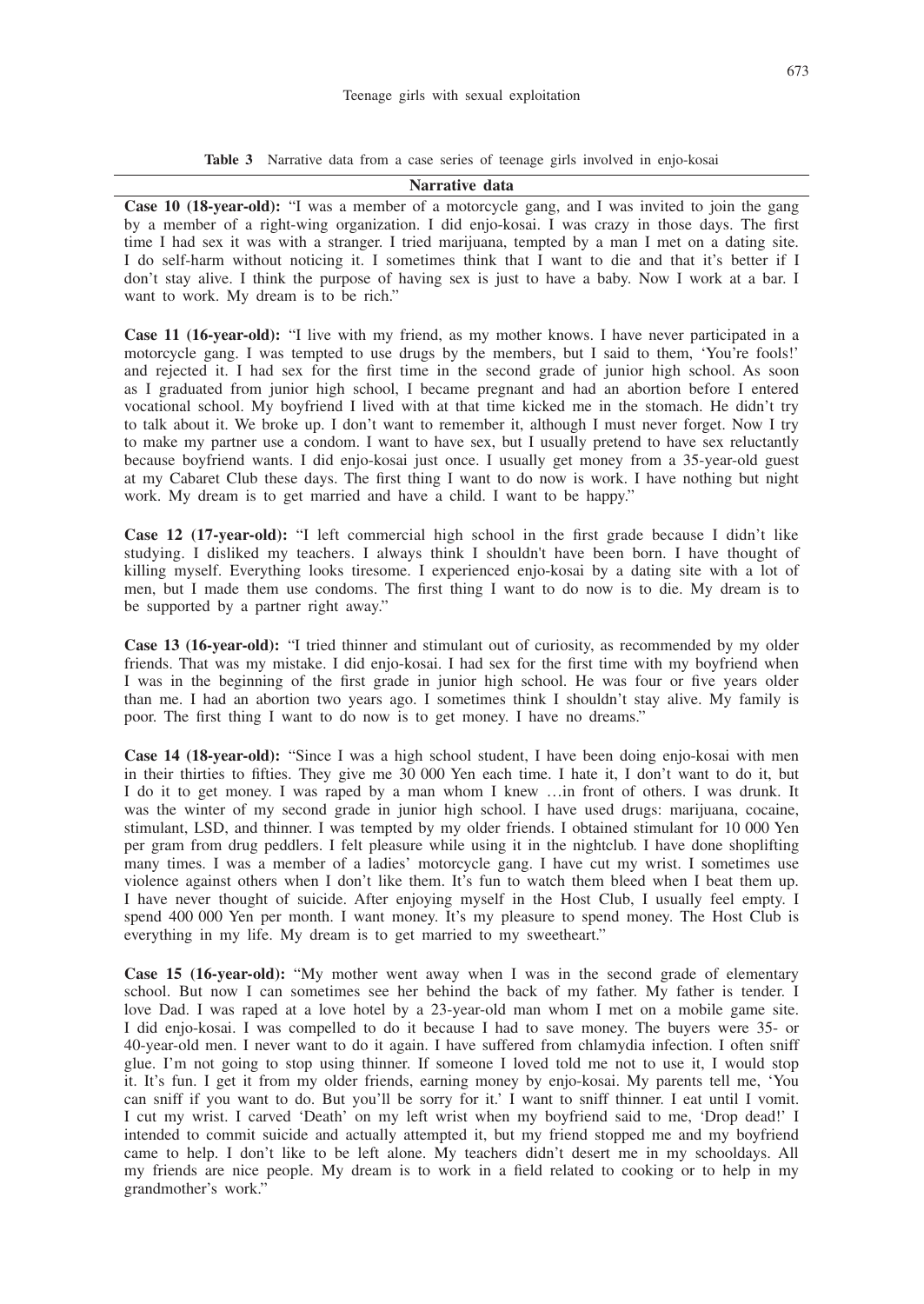**Table 3** Narrative data from a case series of teenage girls involved in enjo-kosai

#### **Narrative data**

**Case 10 (18-year-old):** "I was a member of a motorcycle gang, and I was invited to join the gang by a member of a right-wing organization. I did enjo-kosai. I was crazy in those days. The first time I had sex it was with a stranger. I tried marijuana, tempted by a man I met on a dating site. I do self-harm without noticing it. I sometimes think that I want to die and that it's better if I don't stay alive. I think the purpose of having sex is just to have a baby. Now I work at a bar. I want to work. My dream is to be rich."

**Case 11 (16-year-old):** "I live with my friend, as my mother knows. I have never participated in a motorcycle gang. I was tempted to use drugs by the members, but I said to them, 'You're fools!' and rejected it. I had sex for the first time in the second grade of junior high school. As soon as I graduated from junior high school, I became pregnant and had an abortion before I entered vocational school. My boyfriend I lived with at that time kicked me in the stomach. He didn't try to talk about it. We broke up. I don't want to remember it, although I must never forget. Now I try to make my partner use a condom. I want to have sex, but I usually pretend to have sex reluctantly because boyfriend wants. I did enjo-kosai just once. I usually get money from a 35-year-old guest at my Cabaret Club these days. The first thing I want to do now is work. I have nothing but night work. My dream is to get married and have a child. I want to be happy."

**Case 12 (17-year-old):** "I left commercial high school in the first grade because I didn't like studying. I disliked my teachers. I always think I shouldn't have been born. I have thought of killing myself. Everything looks tiresome. I experienced enjo-kosai by a dating site with a lot of men, but I made them use condoms. The first thing I want to do now is to die. My dream is to be supported by a partner right away."

**Case 13 (16-year-old):** "I tried thinner and stimulant out of curiosity, as recommended by my older friends. That was my mistake. I did enjo-kosai. I had sex for the first time with my boyfriend when I was in the beginning of the first grade in junior high school. He was four or five years older than me. I had an abortion two years ago. I sometimes think I shouldn't stay alive. My family is poor. The first thing I want to do now is to get money. I have no dreams."

**Case 14 (18-year-old):** "Since I was a high school student, I have been doing enjo-kosai with men in their thirties to fifties. They give me 30 000 Yen each time. I hate it, I don't want to do it, but I do it to get money. I was raped by a man whom I knew …in front of others. I was drunk. It was the winter of my second grade in junior high school. I have used drugs: marijuana, cocaine, stimulant, LSD, and thinner. I was tempted by my older friends. I obtained stimulant for 10 000 Yen per gram from drug peddlers. I felt pleasure while using it in the nightclub. I have done shoplifting many times. I was a member of a ladies' motorcycle gang. I have cut my wrist. I sometimes use violence against others when I don't like them. It's fun to watch them bleed when I beat them up. I have never thought of suicide. After enjoying myself in the Host Club, I usually feel empty. I spend 400 000 Yen per month. I want money. It's my pleasure to spend money. The Host Club is everything in my life. My dream is to get married to my sweetheart."

**Case 15 (16-year-old):** "My mother went away when I was in the second grade of elementary school. But now I can sometimes see her behind the back of my father. My father is tender. I love Dad. I was raped at a love hotel by a 23-year-old man whom I met on a mobile game site. I did enjo-kosai. I was compelled to do it because I had to save money. The buyers were 35- or 40-year-old men. I never want to do it again. I have suffered from chlamydia infection. I often sniff glue. I'm not going to stop using thinner. If someone I loved told me not to use it, I would stop it. It's fun. I get it from my older friends, earning money by enjo-kosai. My parents tell me, 'You can sniff if you want to do. But you'll be sorry for it.' I want to sniff thinner. I eat until I vomit. I cut my wrist. I carved 'Death' on my left wrist when my boyfriend said to me, 'Drop dead!' I intended to commit suicide and actually attempted it, but my friend stopped me and my boyfriend came to help. I don't like to be left alone. My teachers didn't desert me in my schooldays. All my friends are nice people. My dream is to work in a field related to cooking or to help in my grandmother's work."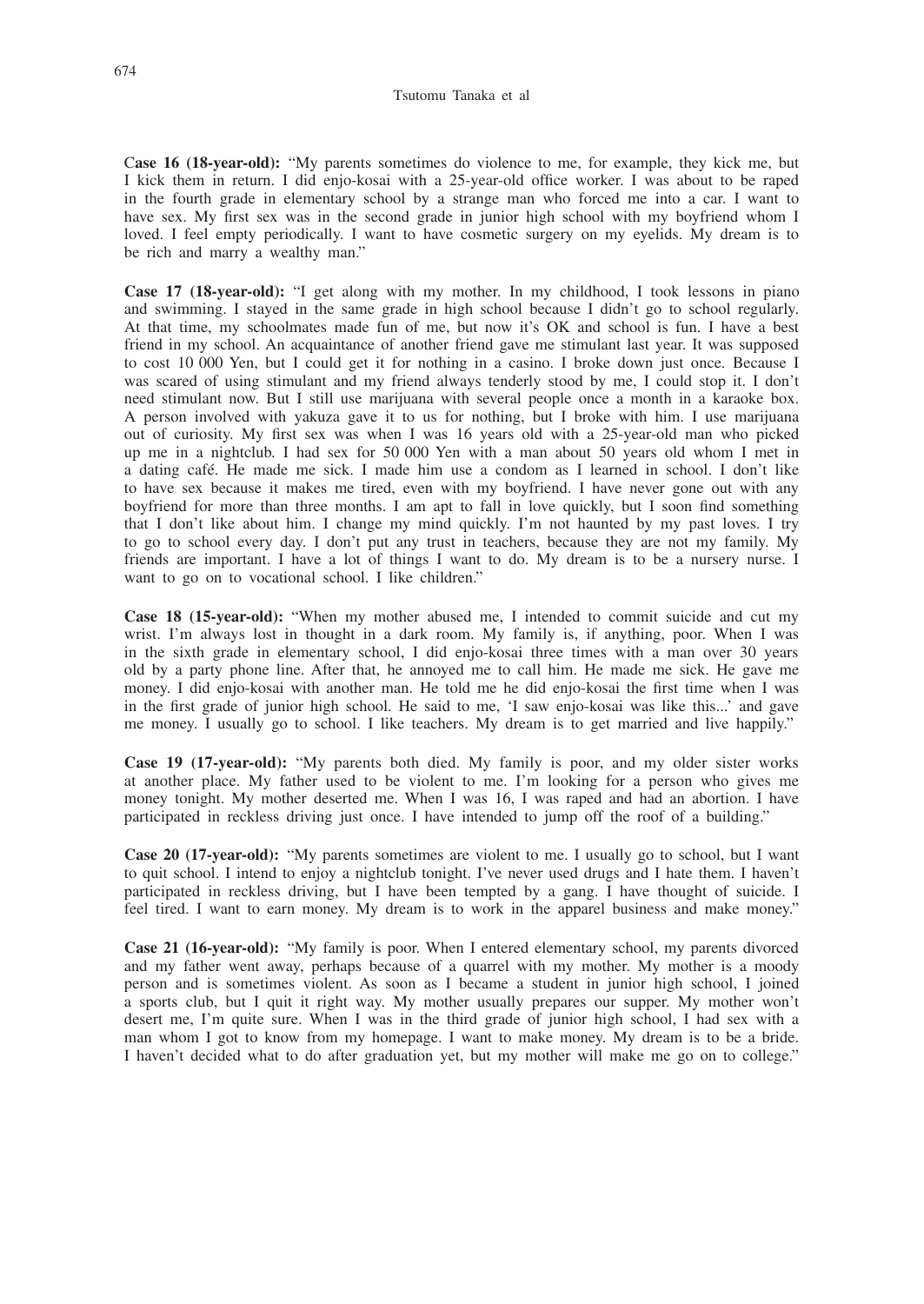C**ase 16 (18-year-old):** "My parents sometimes do violence to me, for example, they kick me, but I kick them in return. I did enjo-kosai with a 25-year-old office worker. I was about to be raped in the fourth grade in elementary school by a strange man who forced me into a car. I want to have sex. My first sex was in the second grade in junior high school with my boyfriend whom I loved. I feel empty periodically. I want to have cosmetic surgery on my eyelids. My dream is to be rich and marry a wealthy man."

**Case 17 (18-year-old):** "I get along with my mother. In my childhood, I took lessons in piano and swimming. I stayed in the same grade in high school because I didn't go to school regularly. At that time, my schoolmates made fun of me, but now it's OK and school is fun. I have a best friend in my school. An acquaintance of another friend gave me stimulant last year. It was supposed to cost 10 000 Yen, but I could get it for nothing in a casino. I broke down just once. Because I was scared of using stimulant and my friend always tenderly stood by me, I could stop it. I don't need stimulant now. But I still use marijuana with several people once a month in a karaoke box. A person involved with yakuza gave it to us for nothing, but I broke with him. I use marijuana out of curiosity. My first sex was when I was 16 years old with a 25-year-old man who picked up me in a nightclub. I had sex for 50 000 Yen with a man about 50 years old whom I met in a dating café. He made me sick. I made him use a condom as I learned in school. I don't like to have sex because it makes me tired, even with my boyfriend. I have never gone out with any boyfriend for more than three months. I am apt to fall in love quickly, but I soon find something that I don't like about him. I change my mind quickly. I'm not haunted by my past loves. I try to go to school every day. I don't put any trust in teachers, because they are not my family. My friends are important. I have a lot of things I want to do. My dream is to be a nursery nurse. I want to go on to vocational school. I like children."

**Case 18 (15-year-old):** "When my mother abused me, I intended to commit suicide and cut my wrist. I'm always lost in thought in a dark room. My family is, if anything, poor. When I was in the sixth grade in elementary school, I did enjo-kosai three times with a man over 30 years old by a party phone line. After that, he annoyed me to call him. He made me sick. He gave me money. I did enjo-kosai with another man. He told me he did enjo-kosai the first time when I was in the first grade of junior high school. He said to me, 'I saw enjo-kosai was like this...' and gave me money. I usually go to school. I like teachers. My dream is to get married and live happily."

**Case 19 (17-year-old):** "My parents both died. My family is poor, and my older sister works at another place. My father used to be violent to me. I'm looking for a person who gives me money tonight. My mother deserted me. When I was 16, I was raped and had an abortion. I have participated in reckless driving just once. I have intended to jump off the roof of a building."

**Case 20 (17-year-old):** "My parents sometimes are violent to me. I usually go to school, but I want to quit school. I intend to enjoy a nightclub tonight. I've never used drugs and I hate them. I haven't participated in reckless driving, but I have been tempted by a gang. I have thought of suicide. I feel tired. I want to earn money. My dream is to work in the apparel business and make money."

**Case 21 (16-year-old):** "My family is poor. When I entered elementary school, my parents divorced and my father went away, perhaps because of a quarrel with my mother. My mother is a moody person and is sometimes violent. As soon as I became a student in junior high school, I joined a sports club, but I quit it right way. My mother usually prepares our supper. My mother won't desert me, I'm quite sure. When I was in the third grade of junior high school, I had sex with a man whom I got to know from my homepage. I want to make money. My dream is to be a bride. I haven't decided what to do after graduation yet, but my mother will make me go on to college."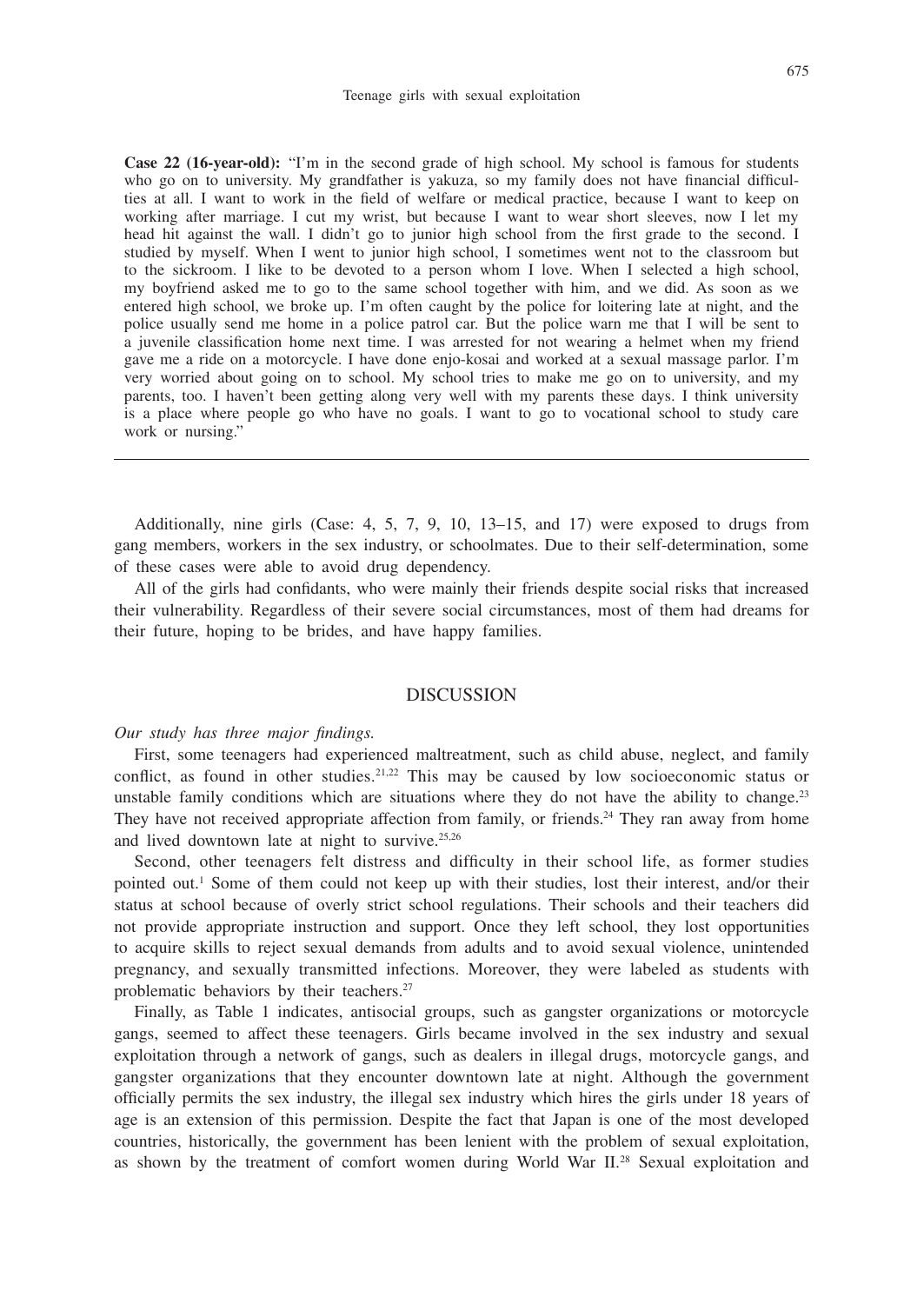Case 22 (16-year-old): "I'm in the second grade of high school. My school is famous for students who go on to university. My grandfather is yakuza, so my family does not have financial difficulties at all. I want to work in the field of welfare or medical practice, because I want to keep on working after marriage. I cut my wrist, but because I want to wear short sleeves, now I let my head hit against the wall. I didn't go to junior high school from the first grade to the second. I studied by myself. When I went to junior high school, I sometimes went not to the classroom but to the sickroom. I like to be devoted to a person whom I love. When I selected a high school, my boyfriend asked me to go to the same school together with him, and we did. As soon as we entered high school, we broke up. I'm often caught by the police for loitering late at night, and the police usually send me home in a police patrol car. But the police warn me that I will be sent to a juvenile classification home next time. I was arrested for not wearing a helmet when my friend gave me a ride on a motorcycle. I have done enjo-kosai and worked at a sexual massage parlor. I'm very worried about going on to school. My school tries to make me go on to university, and my parents, too. I haven't been getting along very well with my parents these days. I think university is a place where people go who have no goals. I want to go to vocational school to study care work or nursing."

Additionally, nine girls (Case: 4, 5, 7, 9, 10, 13–15, and 17) were exposed to drugs from gang members, workers in the sex industry, or schoolmates. Due to their self-determination, some of these cases were able to avoid drug dependency.

All of the girls had confidants, who were mainly their friends despite social risks that increased their vulnerability. Regardless of their severe social circumstances, most of them had dreams for their future, hoping to be brides, and have happy families.

#### DISCUSSION

#### *Our study has three major findings.*

First, some teenagers had experienced maltreatment, such as child abuse, neglect, and family conflict, as found in other studies.<sup>21,22</sup> This may be caused by low socioeconomic status or unstable family conditions which are situations where they do not have the ability to change. $2<sup>3</sup>$ They have not received appropriate affection from family, or friends.<sup>24</sup> They ran away from home and lived downtown late at night to survive. $25,26$ 

Second, other teenagers felt distress and difficulty in their school life, as former studies pointed out.<sup>1</sup> Some of them could not keep up with their studies, lost their interest, and/or their status at school because of overly strict school regulations. Their schools and their teachers did not provide appropriate instruction and support. Once they left school, they lost opportunities to acquire skills to reject sexual demands from adults and to avoid sexual violence, unintended pregnancy, and sexually transmitted infections. Moreover, they were labeled as students with problematic behaviors by their teachers.<sup>27</sup>

Finally, as Table 1 indicates, antisocial groups, such as gangster organizations or motorcycle gangs, seemed to affect these teenagers. Girls became involved in the sex industry and sexual exploitation through a network of gangs, such as dealers in illegal drugs, motorcycle gangs, and gangster organizations that they encounter downtown late at night. Although the government officially permits the sex industry, the illegal sex industry which hires the girls under 18 years of age is an extension of this permission. Despite the fact that Japan is one of the most developed countries, historically, the government has been lenient with the problem of sexual exploitation, as shown by the treatment of comfort women during World War II.<sup>28</sup> Sexual exploitation and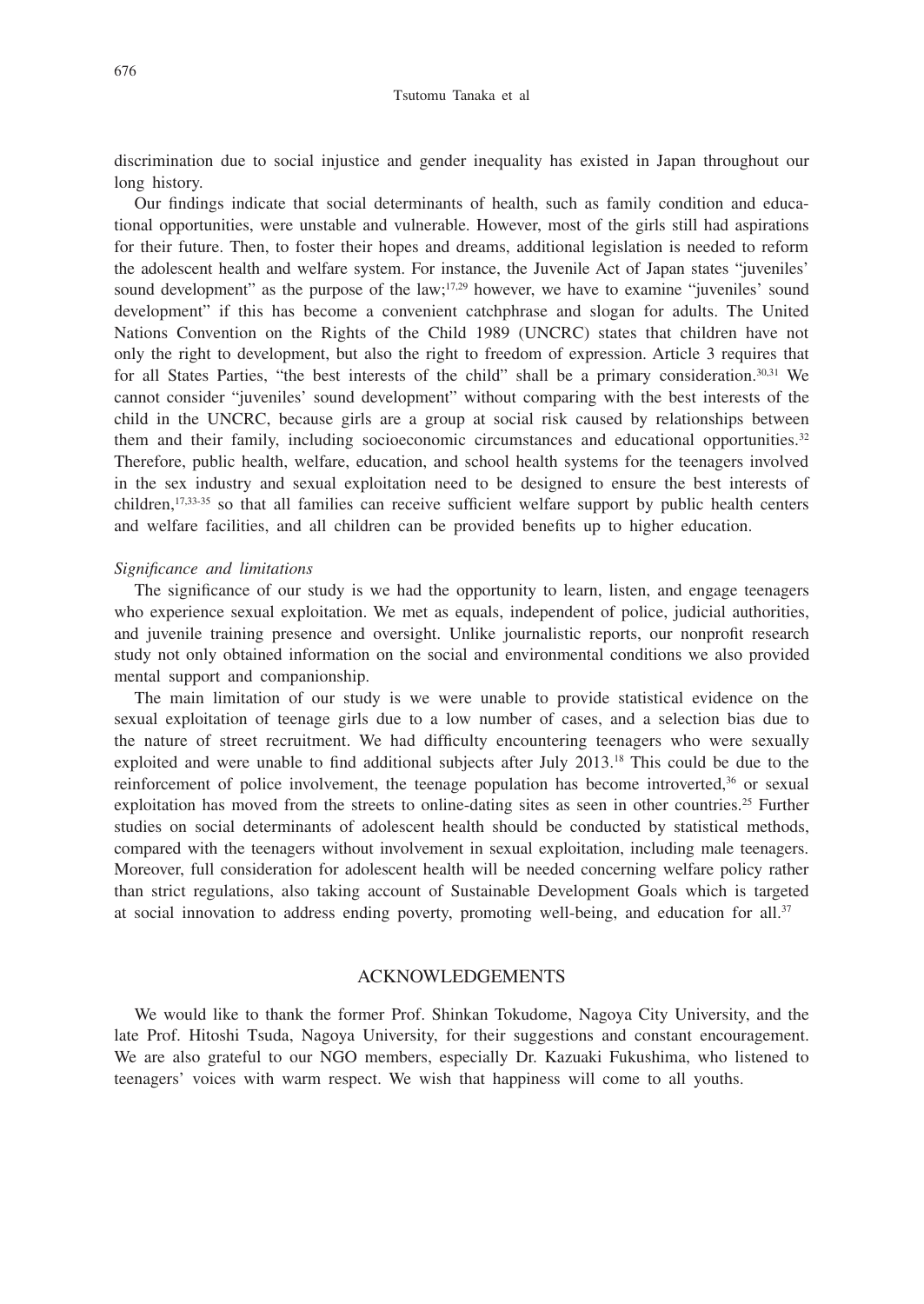#### Tsutomu Tanaka et al

discrimination due to social injustice and gender inequality has existed in Japan throughout our long history.

Our findings indicate that social determinants of health, such as family condition and educational opportunities, were unstable and vulnerable. However, most of the girls still had aspirations for their future. Then, to foster their hopes and dreams, additional legislation is needed to reform the adolescent health and welfare system. For instance, the Juvenile Act of Japan states "juveniles' sound development" as the purpose of the law;<sup>17,29</sup> however, we have to examine "juveniles' sound development" if this has become a convenient catchphrase and slogan for adults. The United Nations Convention on the Rights of the Child 1989 (UNCRC) states that children have not only the right to development, but also the right to freedom of expression. Article 3 requires that for all States Parties, "the best interests of the child" shall be a primary consideration.30,31 We cannot consider "juveniles' sound development" without comparing with the best interests of the child in the UNCRC, because girls are a group at social risk caused by relationships between them and their family, including socioeconomic circumstances and educational opportunities.<sup>32</sup> Therefore, public health, welfare, education, and school health systems for the teenagers involved in the sex industry and sexual exploitation need to be designed to ensure the best interests of children,<sup>17,33-35</sup> so that all families can receive sufficient welfare support by public health centers and welfare facilities, and all children can be provided benefits up to higher education.

#### *Significance and limitations*

The significance of our study is we had the opportunity to learn, listen, and engage teenagers who experience sexual exploitation. We met as equals, independent of police, judicial authorities, and juvenile training presence and oversight. Unlike journalistic reports, our nonprofit research study not only obtained information on the social and environmental conditions we also provided mental support and companionship.

The main limitation of our study is we were unable to provide statistical evidence on the sexual exploitation of teenage girls due to a low number of cases, and a selection bias due to the nature of street recruitment. We had difficulty encountering teenagers who were sexually exploited and were unable to find additional subjects after July 2013.18 This could be due to the reinforcement of police involvement, the teenage population has become introverted,<sup>36</sup> or sexual exploitation has moved from the streets to online-dating sites as seen in other countries.<sup>25</sup> Further studies on social determinants of adolescent health should be conducted by statistical methods, compared with the teenagers without involvement in sexual exploitation, including male teenagers. Moreover, full consideration for adolescent health will be needed concerning welfare policy rather than strict regulations, also taking account of Sustainable Development Goals which is targeted at social innovation to address ending poverty, promoting well-being, and education for all.37

#### ACKNOWLEDGEMENTS

We would like to thank the former Prof. Shinkan Tokudome, Nagoya City University, and the late Prof. Hitoshi Tsuda, Nagoya University, for their suggestions and constant encouragement. We are also grateful to our NGO members, especially Dr. Kazuaki Fukushima, who listened to teenagers' voices with warm respect. We wish that happiness will come to all youths.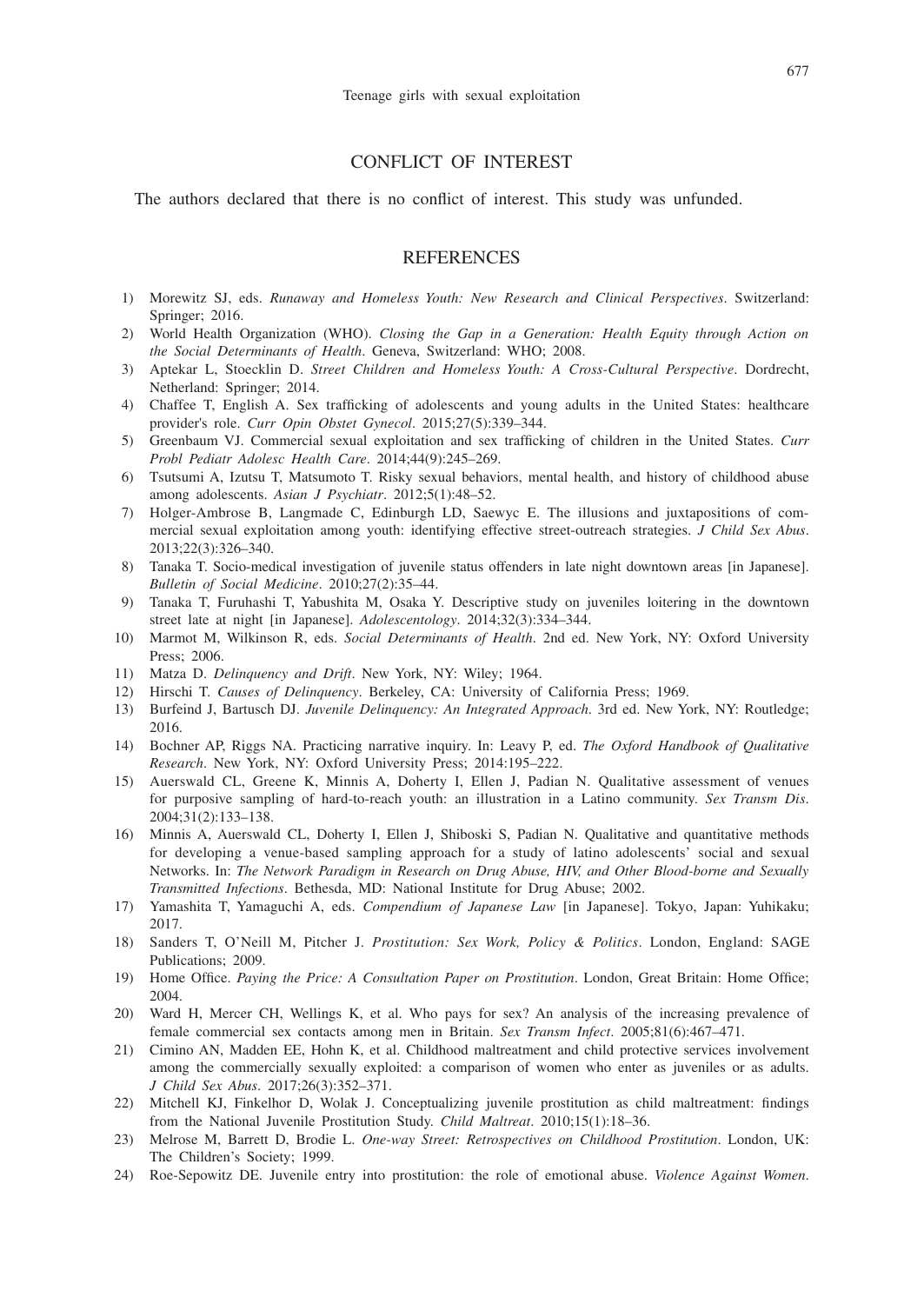### CONFLICT OF INTEREST

The authors declared that there is no conflict of interest. This study was unfunded.

#### **REFERENCES**

- 1) Morewitz SJ, eds. *Runaway and Homeless Youth: New Research and Clinical Perspectives*. Switzerland: Springer; 2016.
- 2) World Health Organization (WHO). *Closing the Gap in a Generation: Health Equity through Action on the Social Determinants of Health*. Geneva, Switzerland: WHO; 2008.
- 3) Aptekar L, Stoecklin D. *Street Children and Homeless Youth: A Cross-Cultural Perspective*. Dordrecht, Netherland: Springer; 2014.
- 4) Chaffee T, English A. Sex trafficking of adolescents and young adults in the United States: healthcare provider's role. *Curr Opin Obstet Gynecol*. 2015;27(5):339–344.
- 5) Greenbaum VJ. Commercial sexual exploitation and sex trafficking of children in the United States. *Curr Probl Pediatr Adolesc Health Care*. 2014;44(9):245–269.
- 6) Tsutsumi A, Izutsu T, Matsumoto T. Risky sexual behaviors, mental health, and history of childhood abuse among adolescents. *Asian J Psychiatr*. 2012;5(1):48–52.
- 7) Holger-Ambrose B, Langmade C, Edinburgh LD, Saewyc E. The illusions and juxtapositions of commercial sexual exploitation among youth: identifying effective street-outreach strategies. *J Child Sex Abus*. 2013;22(3):326–340.
- 8) Tanaka T. Socio-medical investigation of juvenile status offenders in late night downtown areas [in Japanese]. *Bulletin of Social Medicine*. 2010;27(2):35–44.
- 9) Tanaka T, Furuhashi T, Yabushita M, Osaka Y. Descriptive study on juveniles loitering in the downtown street late at night [in Japanese]. *Adolescentology*. 2014;32(3):334–344.
- 10) Marmot M, Wilkinson R, eds. *Social Determinants of Health*. 2nd ed. New York, NY: Oxford University Press; 2006.
- 11) Matza D. *Delinquency and Drift*. New York, NY: Wiley; 1964.
- 12) Hirschi T. *Causes of Delinquency*. Berkeley, CA: University of California Press; 1969.
- 13) Burfeind J, Bartusch DJ. *Juvenile Delinquency: An Integrated Approach*. 3rd ed. New York, NY: Routledge; 2016.
- 14) Bochner AP, Riggs NA. Practicing narrative inquiry. In: Leavy P, ed. *The Oxford Handbook of Qualitative Research*. New York, NY: Oxford University Press; 2014:195–222.
- 15) Auerswald CL, Greene K, Minnis A, Doherty I, Ellen J, Padian N. Qualitative assessment of venues for purposive sampling of hard-to-reach youth: an illustration in a Latino community. *Sex Transm Dis*. 2004;31(2):133–138.
- 16) Minnis A, Auerswald CL, Doherty I, Ellen J, Shiboski S, Padian N. Qualitative and quantitative methods for developing a venue-based sampling approach for a study of latino adolescents' social and sexual Networks. In: *The Network Paradigm in Research on Drug Abuse, HIV, and Other Blood-borne and Sexually Transmitted Infections*. Bethesda, MD: National Institute for Drug Abuse; 2002.
- 17) Yamashita T, Yamaguchi A, eds. *Compendium of Japanese Law* [in Japanese]. Tokyo, Japan: Yuhikaku; 2017.
- 18) Sanders T, O'Neill M, Pitcher J. *Prostitution: Sex Work, Policy & Politics*. London, England: SAGE Publications; 2009.
- 19) Home Office. *Paying the Price: A Consultation Paper on Prostitution*. London, Great Britain: Home Office; 2004.
- 20) Ward H, Mercer CH, Wellings K, et al. Who pays for sex? An analysis of the increasing prevalence of female commercial sex contacts among men in Britain. *Sex Transm Infect*. 2005;81(6):467–471.
- 21) Cimino AN, Madden EE, Hohn K, et al. Childhood maltreatment and child protective services involvement among the commercially sexually exploited: a comparison of women who enter as juveniles or as adults. *J Child Sex Abus*. 2017;26(3):352–371.
- 22) Mitchell KJ, Finkelhor D, Wolak J. Conceptualizing juvenile prostitution as child maltreatment: findings from the National Juvenile Prostitution Study. *Child Maltreat*. 2010;15(1):18–36.
- 23) Melrose M, Barrett D, Brodie L. *One-way Street: Retrospectives on Childhood Prostitution*. London, UK: The Children's Society; 1999.
- 24) Roe-Sepowitz DE. Juvenile entry into prostitution: the role of emotional abuse. *Violence Against Women*.